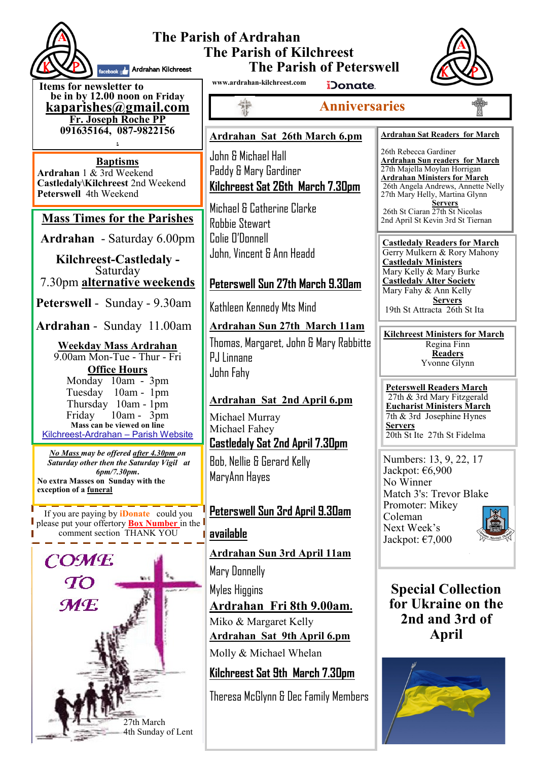

#### **The Parish of Ardrahan The Parish of Kilchreest The Parish of Peterswell Ardrahan Kilchreest**



**Items for newsletter to be in by 12.00 noon on Friday [kaparishes@gmail.com](mailto:kaparish@gmail.com) Fr. Joseph Roche PP 091635164, 087-9822156 .**

**Baptisms Ardrahan** 1 & 3rd Weekend **Castledaly\Kilchreest** 2nd Weekend **Peterswell** 4th Weekend

### **Mass Times for the Parishes**

**Ardrahan** - Saturday 6.00pm

**Kilchreest-Castledaly -**  Saturday 7.30pm **alternative weekends**

**Peterswell** - Sunday - 9.30am

**Ardrahan** - Sunday 11.00am

**Weekday Mass Ardrahan**  9.00am Mon-Tue - Thur - Fri **Office Hours**  Monday 10am - 3pm Tuesday 10am - 1pm Thursday 10am - 1pm<br>Friday 10am - 3pm  $10$ am -  $3$ pm **Mass can be viewed on line**  Kilchreest-Ardrahan – Parish Website

*No Mass may be offered after 4.30pm on Saturday other then the Saturday Vigil at 6pm/7.30pm***. No extra Masses on Sunday with the exception of a funeral**

If you are paying by **iDonate** could you please put your offertory **Box Number** in the comment section THANK YOU



**www.ardrahan-kilchreest.com**

iDonate.

# **Anniversaries**

#### **Ardrahan Sat 26th March 6.pm**

John & Michael Hall Paddy & Mary Gardiner **Kilchreest Sat 26th March 7.30pm**

Michael & Catherine Clarke Robbie Stewart Colie O'Donnell John, Vincent & Ann Headd

## **Peterswell Sun 27th March 9.30am**

Kathleen Kennedy Mts Mind

**Ardrahan Sun 27th March 11am**

Thomas, Margaret, John & Mary Rabbitte PJ Linnane John Fahy

### **Ardrahan Sat 2nd April 6.pm**

Michael Murray Michael Fahey **Castledaly Sat 2nd April 7.30pm** Bob, Nellie & Gerard Kelly MaryAnn Hayes

## **Peterswell Sun 3rd April 9.30am**

### **available**

**Ardrahan Sun 3rd April 11am** Mary Donnelly

Myles Higgins **Ardrahan Fri 8th 9.00am.** Miko & Margaret Kelly

**Ardrahan Sat 9th April 6.pm**

Molly & Michael Whelan

# **Kilchreest Sat 9th March 7.30pm**

Theresa McGlynn & Dec Family Members

#### **Ardrahan Sat Readers for March**

26th Rebecca Gardiner **Ardrahan Sun readers for March** 27th Majella Moylan Horrigan **Ardrahan Ministers for March** 26th Angela Andrews, Annette Nelly 27th Mary Helly, Martina Glynn **Servers** 26th St Ciaran 27th St Nicolas 2nd April St Kevin 3rd St Tiernan

**Castledaly Readers for March** Gerry Mulkern & Rory Mahony **Castledaly Ministers** Mary Kelly & Mary Burke **Castledaly Alter Society** Mary Fahy & Ann Kelly **Servers** 19th St Attracta 26th St Ita

**Kilchreest Ministers for March** Regina Finn

**Readers** Yvonne Glynn

**Peterswell Readers March** 27th & 3rd Mary Fitzgerald **Eucharist Ministers March** 7th & 3rd Josephine Hynes **Servers** 20th St Ite 27th St Fidelma

Numbers: 13, 9, 22, 17 Jackpot: €6,900 No Winner Match 3's: Trevor Blake Promoter: Mikey Coleman Next Week's Jackpot: €7,000



**Special Collection for Ukraine on the 2nd and 3rd of April**